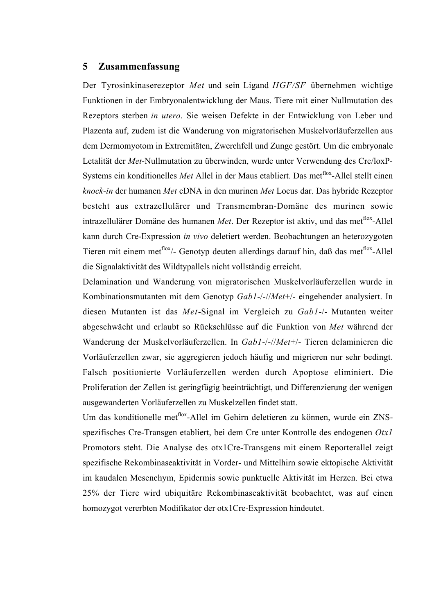## 5 Zusammenfassung

Der Tyrosinkinaserezeptor *Met* und sein Ligand *HGF/SF* übernehmen wichtige Funktionen in der Embryonalentwicklung der Maus. Tiere mit einer Nullmutation des Rezeptors sterben *in utero*. Sie weisen Defekte in der Entwicklung von Leber und Plazenta auf, zudem ist die Wanderung von migratorischen Muskelvorläuferzellen aus dem Dermomyotom in Extremitäten, Zwerchfell und Zunge gestört. Um die embryonale Letalität der *Met*-Nullmutation zu überwinden, wurde unter Verwendung des Cre/loxP-Systems ein konditionelles *Met* Allel in der Maus etabliert. Das met<sup>flox</sup>-Allel stellt einen *knock-in* der humanen *Met* cDNA in den murinen *Met* Locus dar. Das hybride Rezeptor besteht aus extrazellulärer und Transmembran-Domäne des murinen sowie intrazellulärer Domäne des humanen *Met*. Der Rezeptor ist aktiv, und das met<sup>flox</sup>-Allel kann durch Cre-Expression *in vivo* deletiert werden. Beobachtungen an heterozygoten Tieren mit einem met<sup>flox</sup>/- Genotyp deuten allerdings darauf hin, daß das met<sup>flox</sup>-Allel die Signalaktivität des Wildtypallels nicht vollständig erreicht.

Delamination und Wanderung von migratorischen Muskelvorläuferzellen wurde in Kombinationsmutanten mit dem Genotyp *Gab1*-/-//*Met*+/- eingehender analysiert. In diesen Mutanten ist das *Met*-Signal im Vergleich zu *Gab1*-/- Mutanten weiter abgeschwächt und erlaubt so Rückschlüsse auf die Funktion von *Met* während der Wanderung der Muskelvorläuferzellen. In *Gab1*-/-//*Met*+/- Tieren delaminieren die Vorläuferzellen zwar, sie aggregieren jedoch häufig und migrieren nur sehr bedingt. Falsch positionierte Vorläuferzellen werden durch Apoptose eliminiert. Die Proliferation der Zellen ist geringfügig beeinträchtigt, und Differenzierung der wenigen ausgewanderten Vorläuferzellen zu Muskelzellen findet statt.

Um das konditionelle met<sup>flox</sup>-Allel im Gehirn deletieren zu können, wurde ein ZNSspezifisches Cre-Transgen etabliert, bei dem Cre unter Kontrolle des endogenen *Otx1* Promotors steht. Die Analyse des otx1Cre-Transgens mit einem Reporterallel zeigt spezifische Rekombinaseaktivität in Vorder- und Mittelhirn sowie ektopische Aktivität im kaudalen Mesenchym, Epidermis sowie punktuelle Aktivität im Herzen. Bei etwa 25% der Tiere wird ubiquitäre Rekombinaseaktivität beobachtet, was auf einen homozygot vererbten Modifikator der otx1Cre-Expression hindeutet.